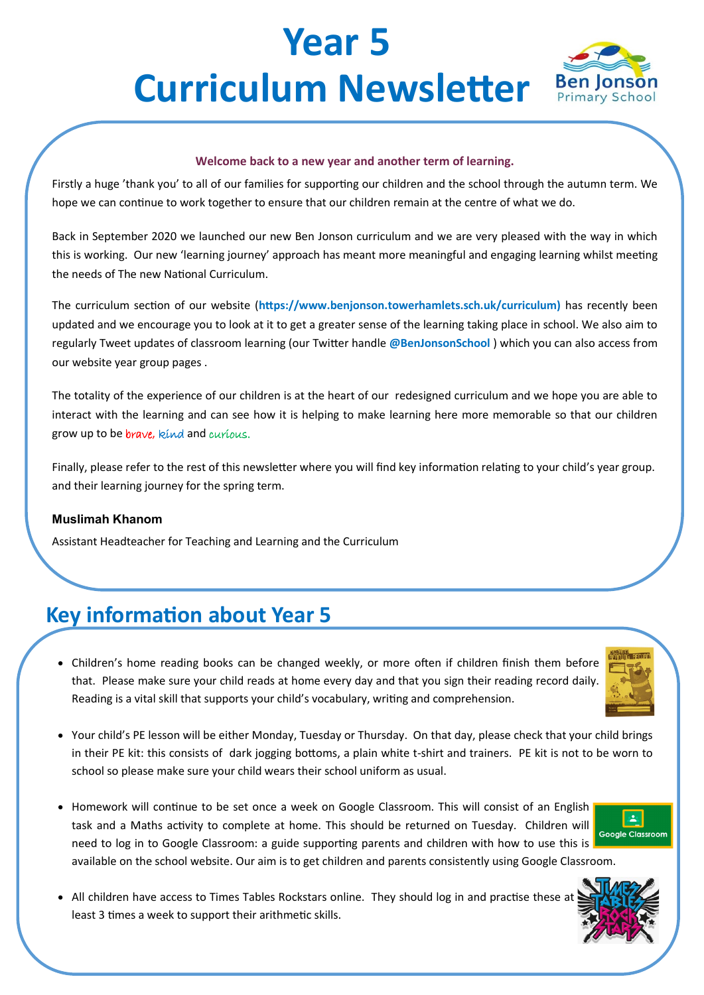# **Year 5 Curriculum Newsletter Ben Jonson**



#### **Welcome back to a new year and another term of learning.**

Firstly a huge 'thank you' to all of our families for supporting our children and the school through the autumn term. We hope we can continue to work together to ensure that our children remain at the centre of what we do.

Back in September 2020 we launched our new Ben Jonson curriculum and we are very pleased with the way in which this is working. Our new 'learning journey' approach has meant more meaningful and engaging learning whilst meeting the needs of The new National Curriculum.

The curriculum section of our website (**https://www.benjonson.towerhamlets.sch.uk/curriculum)** has recently been updated and we encourage you to look at it to get a greater sense of the learning taking place in school. We also aim to regularly Tweet updates of classroom learning (our Twitter handle **@BenJonsonSchool** ) which you can also access from our website year group pages .

The totality of the experience of our children is at the heart of our redesigned curriculum and we hope you are able to interact with the learning and can see how it is helping to make learning here more memorable so that our children grow up to be *brave*, kind and curious.

Finally, please refer to the rest of this newsletter where you will find key information relating to your child's year group. and their learning journey for the spring term.

#### **Muslimah Khanom**

Assistant Headteacher for Teaching and Learning and the Curriculum

## **Key information about Year 5**

• Children's home reading books can be changed weekly, or more often if children finish them before that. Please make sure your child reads at home every day and that you sign their reading record daily. Reading is a vital skill that supports your child's vocabulary, writing and comprehension.



- Your child's PE lesson will be either Monday, Tuesday or Thursday. On that day, please check that your child brings in their PE kit: this consists of dark jogging bottoms, a plain white t-shirt and trainers. PE kit is not to be worn to school so please make sure your child wears their school uniform as usual.
- Homework will continue to be set once a week on Google Classroom. This will consist of an English task and a Maths activity to complete at home. This should be returned on Tuesday. Children will need to log in to Google Classroom: a guide supporting parents and children with how to use this is available on the school website. Our aim is to get children and parents consistently using Google Classroom.



• All children have access to Times Tables Rockstars online. They should log in and practise these at least 3 times a week to support their arithmetic skills.